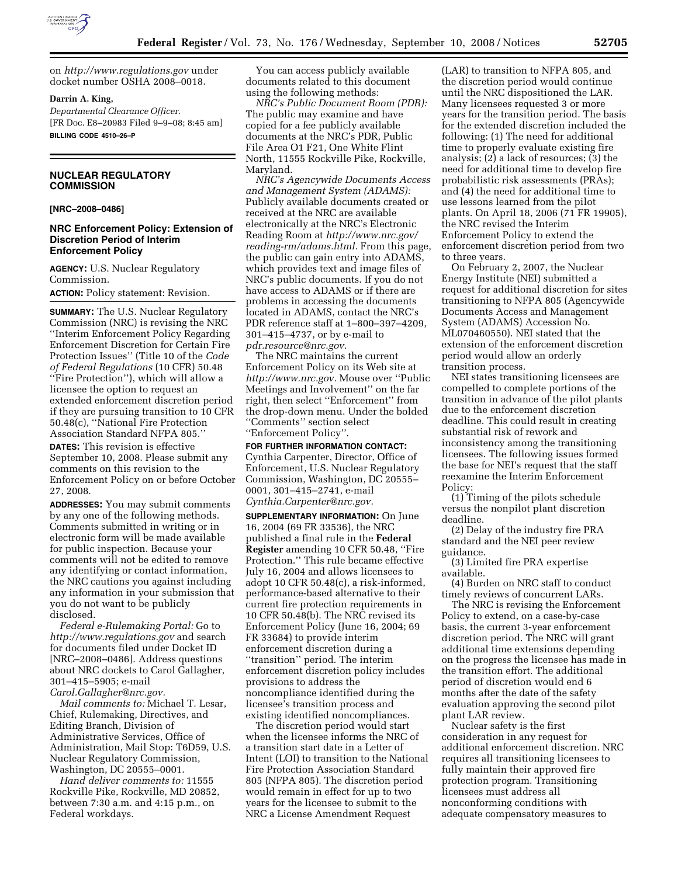

on *http://www.regulations.gov* under docket number OSHA 2008–0018.

#### **Darrin A. King,**

*Departmental Clearance Officer.*  [FR Doc. E8–20983 Filed 9–9–08; 8:45 am] **BILLING CODE 4510–26–P** 

# **NUCLEAR REGULATORY COMMISSION**

#### **[NRC–2008–0486]**

### **NRC Enforcement Policy: Extension of Discretion Period of Interim Enforcement Policy**

**AGENCY:** U.S. Nuclear Regulatory Commission.

**ACTION:** Policy statement: Revision.

**SUMMARY:** The U.S. Nuclear Regulatory Commission (NRC) is revising the NRC ''Interim Enforcement Policy Regarding Enforcement Discretion for Certain Fire Protection Issues'' (Title 10 of the *Code of Federal Regulations* (10 CFR) 50.48 ''Fire Protection''), which will allow a licensee the option to request an extended enforcement discretion period if they are pursuing transition to 10 CFR 50.48(c), ''National Fire Protection Association Standard NFPA 805.''

**DATES:** This revision is effective September 10, 2008. Please submit any comments on this revision to the Enforcement Policy on or before October 27, 2008.

**ADDRESSES:** You may submit comments by any one of the following methods. Comments submitted in writing or in electronic form will be made available for public inspection. Because your comments will not be edited to remove any identifying or contact information, the NRC cautions you against including any information in your submission that you do not want to be publicly disclosed.

*Federal e-Rulemaking Portal:* Go to *http://www.regulations.gov* and search for documents filed under Docket ID [NRC–2008–0486]. Address questions about NRC dockets to Carol Gallagher, 301–415–5905; e-mail *Carol.Gallagher@nrc.gov.* 

*Mail comments to:* Michael T. Lesar, Chief, Rulemaking, Directives, and Editing Branch, Division of Administrative Services, Office of Administration, Mail Stop: T6D59, U.S. Nuclear Regulatory Commission, Washington, DC 20555–0001.

*Hand deliver comments to:* 11555 Rockville Pike, Rockville, MD 20852, between 7:30 a.m. and 4:15 p.m., on Federal workdays.

You can access publicly available documents related to this document using the following methods:

*NRC's Public Document Room (PDR):*  The public may examine and have copied for a fee publicly available documents at the NRC's PDR, Public File Area O1 F21, One White Flint North, 11555 Rockville Pike, Rockville, Maryland.

*NRC's Agencywide Documents Access and Management System (ADAMS):*  Publicly available documents created or received at the NRC are available electronically at the NRC's Electronic Reading Room at *http://www.nrc.gov/ reading-rm/adams.html.* From this page, the public can gain entry into ADAMS, which provides text and image files of NRC's public documents. If you do not have access to ADAMS or if there are problems in accessing the documents located in ADAMS, contact the NRC's PDR reference staff at 1–800–397–4209, 301–415–4737, or by e-mail to *pdr.resource@nrc.gov.* 

The NRC maintains the current Enforcement Policy on its Web site at *http://www.nrc.gov.* Mouse over ''Public Meetings and Involvement'' on the far right, then select ''Enforcement'' from the drop-down menu. Under the bolded ''Comments'' section select ''Enforcement Policy''.

**FOR FURTHER INFORMATION CONTACT:**  Cynthia Carpenter, Director, Office of Enforcement, U.S. Nuclear Regulatory Commission, Washington, DC 20555– 0001, 301–415–2741, e-mail *Cynthia.Carpenter@nrc.gov.* 

**SUPPLEMENTARY INFORMATION:** On June 16, 2004 (69 FR 33536), the NRC published a final rule in the **Federal Register** amending 10 CFR 50.48, ''Fire Protection.'' This rule became effective July 16, 2004 and allows licensees to adopt 10 CFR 50.48(c), a risk-informed, performance-based alternative to their current fire protection requirements in 10 CFR 50.48(b). The NRC revised its Enforcement Policy (June 16, 2004; 69 FR 33684) to provide interim enforcement discretion during a ''transition'' period. The interim enforcement discretion policy includes provisions to address the noncompliance identified during the licensee's transition process and existing identified noncompliances.

The discretion period would start when the licensee informs the NRC of a transition start date in a Letter of Intent (LOI) to transition to the National Fire Protection Association Standard 805 (NFPA 805). The discretion period would remain in effect for up to two years for the licensee to submit to the NRC a License Amendment Request

(LAR) to transition to NFPA 805, and the discretion period would continue until the NRC dispositioned the LAR. Many licensees requested 3 or more years for the transition period. The basis for the extended discretion included the following: (1) The need for additional time to properly evaluate existing fire analysis; (2) a lack of resources; (3) the need for additional time to develop fire probabilistic risk assessments (PRAs); and (4) the need for additional time to use lessons learned from the pilot plants. On April 18, 2006 (71 FR 19905), the NRC revised the Interim Enforcement Policy to extend the enforcement discretion period from two to three years.

On February 2, 2007, the Nuclear Energy Institute (NEI) submitted a request for additional discretion for sites transitioning to NFPA 805 (Agencywide Documents Access and Management System (ADAMS) Accession No. ML070460550). NEI stated that the extension of the enforcement discretion period would allow an orderly transition process.

NEI states transitioning licensees are compelled to complete portions of the transition in advance of the pilot plants due to the enforcement discretion deadline. This could result in creating substantial risk of rework and inconsistency among the transitioning licensees. The following issues formed the base for NEI's request that the staff reexamine the Interim Enforcement Policy:

(1) Timing of the pilots schedule versus the nonpilot plant discretion deadline.

(2) Delay of the industry fire PRA standard and the NEI peer review guidance.

(3) Limited fire PRA expertise available.

(4) Burden on NRC staff to conduct timely reviews of concurrent LARs.

The NRC is revising the Enforcement Policy to extend, on a case-by-case basis, the current 3-year enforcement discretion period. The NRC will grant additional time extensions depending on the progress the licensee has made in the transition effort. The additional period of discretion would end 6 months after the date of the safety evaluation approving the second pilot plant LAR review.

Nuclear safety is the first consideration in any request for additional enforcement discretion. NRC requires all transitioning licensees to fully maintain their approved fire protection program. Transitioning licensees must address all nonconforming conditions with adequate compensatory measures to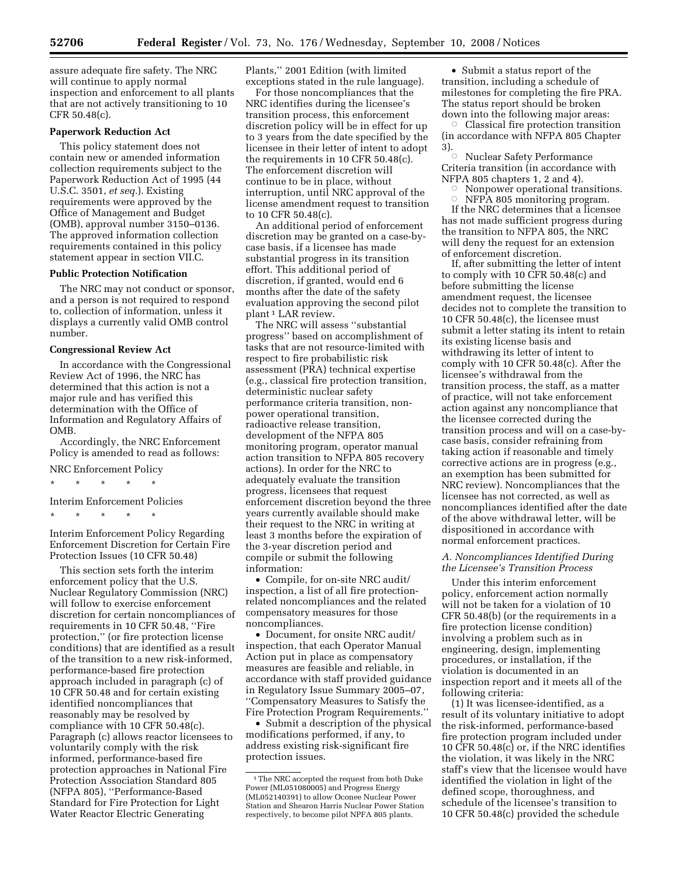assure adequate fire safety. The NRC will continue to apply normal inspection and enforcement to all plants that are not actively transitioning to 10 CFR 50.48(c).

### **Paperwork Reduction Act**

This policy statement does not contain new or amended information collection requirements subject to the Paperwork Reduction Act of 1995 (44 U.S.C. 3501, *et seq.*). Existing requirements were approved by the Office of Management and Budget (OMB), approval number 3150–0136. The approved information collection requirements contained in this policy statement appear in section VII.C.

### **Public Protection Notification**

The NRC may not conduct or sponsor, and a person is not required to respond to, collection of information, unless it displays a currently valid OMB control number.

#### **Congressional Review Act**

In accordance with the Congressional Review Act of 1996, the NRC has determined that this action is not a major rule and has verified this determination with the Office of Information and Regulatory Affairs of OMB.

Accordingly, the NRC Enforcement Policy is amended to read as follows:

#### NRC Enforcement Policy

\* \* \* \* \*

Interim Enforcement Policies

\* \* \* \* \*

Interim Enforcement Policy Regarding Enforcement Discretion for Certain Fire Protection Issues (10 CFR 50.48)

This section sets forth the interim enforcement policy that the U.S. Nuclear Regulatory Commission (NRC) will follow to exercise enforcement discretion for certain noncompliances of requirements in 10 CFR 50.48, ''Fire protection,'' (or fire protection license conditions) that are identified as a result of the transition to a new risk-informed, performance-based fire protection approach included in paragraph (c) of 10 CFR 50.48 and for certain existing identified noncompliances that reasonably may be resolved by compliance with 10 CFR 50.48(c). Paragraph (c) allows reactor licensees to voluntarily comply with the risk informed, performance-based fire protection approaches in National Fire Protection Association Standard 805 (NFPA 805), ''Performance-Based Standard for Fire Protection for Light Water Reactor Electric Generating

Plants,'' 2001 Edition (with limited exceptions stated in the rule language).

For those noncompliances that the NRC identifies during the licensee's transition process, this enforcement discretion policy will be in effect for up to 3 years from the date specified by the licensee in their letter of intent to adopt the requirements in 10 CFR 50.48(c). The enforcement discretion will continue to be in place, without interruption, until NRC approval of the license amendment request to transition to 10 CFR 50.48(c).

An additional period of enforcement discretion may be granted on a case-bycase basis, if a licensee has made substantial progress in its transition effort. This additional period of discretion, if granted, would end 6 months after the date of the safety evaluation approving the second pilot plant 1 LAR review.

The NRC will assess ''substantial progress'' based on accomplishment of tasks that are not resource-limited with respect to fire probabilistic risk assessment (PRA) technical expertise (e.g., classical fire protection transition, deterministic nuclear safety performance criteria transition, nonpower operational transition, radioactive release transition, development of the NFPA 805 monitoring program, operator manual action transition to NFPA 805 recovery actions). In order for the NRC to adequately evaluate the transition progress, licensees that request enforcement discretion beyond the three years currently available should make their request to the NRC in writing at least 3 months before the expiration of the 3-year discretion period and compile or submit the following information:

• Compile, for on-site NRC audit/ inspection, a list of all fire protectionrelated noncompliances and the related compensatory measures for those noncompliances.

• Document, for onsite NRC audit/ inspection, that each Operator Manual Action put in place as compensatory measures are feasible and reliable, in accordance with staff provided guidance in Regulatory Issue Summary 2005–07, ''Compensatory Measures to Satisfy the Fire Protection Program Requirements.''

• Submit a description of the physical modifications performed, if any, to address existing risk-significant fire protection issues.

• Submit a status report of the transition, including a schedule of milestones for completing the fire PRA. The status report should be broken

down into the following major areas: Æ Classical fire protection transition (in accordance with NFPA 805 Chapter 3).

Æ Nuclear Safety Performance Criteria transition (in accordance with NFPA 805 chapters 1, 2 and 4).

Æ Nonpower operational transitions.  $\circ$ NFPA 805 monitoring program.

If the NRC determines that a licensee has not made sufficient progress during the transition to NFPA 805, the NRC will deny the request for an extension of enforcement discretion.

If, after submitting the letter of intent to comply with 10 CFR 50.48(c) and before submitting the license amendment request, the licensee decides not to complete the transition to 10 CFR 50.48(c), the licensee must submit a letter stating its intent to retain its existing license basis and withdrawing its letter of intent to comply with 10 CFR 50.48(c). After the licensee's withdrawal from the transition process, the staff, as a matter of practice, will not take enforcement action against any noncompliance that the licensee corrected during the transition process and will on a case-bycase basis, consider refraining from taking action if reasonable and timely corrective actions are in progress (e.g., an exemption has been submitted for NRC review). Noncompliances that the licensee has not corrected, as well as noncompliances identified after the date of the above withdrawal letter, will be dispositioned in accordance with normal enforcement practices.

#### *A. Noncompliances Identified During the Licensee's Transition Process*

Under this interim enforcement policy, enforcement action normally will not be taken for a violation of 10 CFR 50.48(b) (or the requirements in a fire protection license condition) involving a problem such as in engineering, design, implementing procedures, or installation, if the violation is documented in an inspection report and it meets all of the following criteria:

(1) It was licensee-identified, as a result of its voluntary initiative to adopt the risk-informed, performance-based fire protection program included under 10 CFR 50.48(c) or, if the NRC identifies the violation, it was likely in the NRC staff's view that the licensee would have identified the violation in light of the defined scope, thoroughness, and schedule of the licensee's transition to 10 CFR 50.48(c) provided the schedule

<sup>&</sup>lt;sup>1</sup>The NRC accepted the request from both Duke Power (ML051080005) and Progress Energy (ML052140391) to allow Oconee Nuclear Power Station and Shearon Harris Nuclear Power Station respectively, to become pilot NPFA 805 plants.